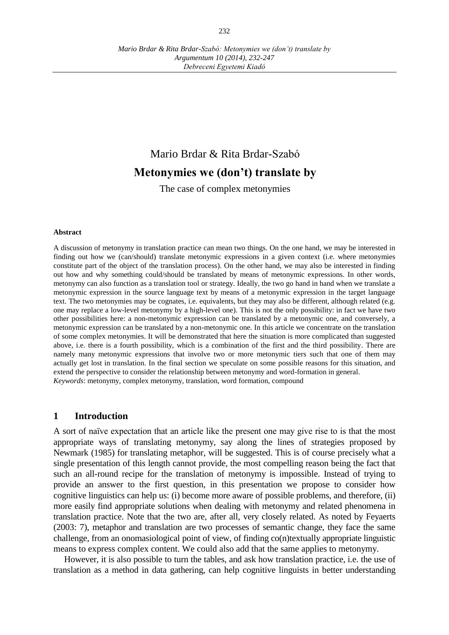# Mario Brdar & Rita Brdar-Szabó **Metonymies we (don't) translate by**

The case of complex metonymies

#### **Abstract**

A discussion of metonymy in translation practice can mean two things. On the one hand, we may be interested in finding out how we (can/should) translate metonymic expressions in a given context (i.e. where metonymies constitute part of the object of the translation process). On the other hand, we may also be interested in finding out how and why something could/should be translated by means of metonymic expressions. In other words, metonymy can also function as a translation tool or strategy. Ideally, the two go hand in hand when we translate a metonymic expression in the source language text by means of a metonymic expression in the target language text. The two metonymies may be cognates, i.e. equivalents, but they may also be different, although related (e.g. one may replace a low-level metonymy by a high-level one). This is not the only possibility: in fact we have two other possibilities here: a non-metonymic expression can be translated by a metonymic one, and conversely, a metonymic expression can be translated by a non-metonymic one. In this article we concentrate on the translation of some complex metonymies. It will be demonstrated that here the situation is more complicated than suggested above, i.e. there is a fourth possibility, which is a combination of the first and the third possibility. There are namely many metonymic expressions that involve two or more metonymic tiers such that one of them may actually get lost in translation. In the final section we speculate on some possible reasons for this situation, and extend the perspective to consider the relationship between metonymy and word-formation in general. *Keywords*: metonymy, complex metonymy, translation, word formation, compound

#### **1 Introduction**

A sort of naïve expectation that an article like the present one may give rise to is that the most appropriate ways of translating metonymy, say along the lines of strategies proposed by Newmark (1985) for translating metaphor, will be suggested. This is of course precisely what a single presentation of this length cannot provide, the most compelling reason being the fact that such an all-round recipe for the translation of metonymy is impossible. Instead of trying to provide an answer to the first question, in this presentation we propose to consider how cognitive linguistics can help us: (i) become more aware of possible problems, and therefore, (ii) more easily find appropriate solutions when dealing with metonymy and related phenomena in translation practice. Note that the two are, after all, very closely related. As noted by Feyaerts (2003: 7), metaphor and translation are two processes of semantic change, they face the same challenge, from an onomasiological point of view, of finding co(n)textually appropriate linguistic means to express complex content. We could also add that the same applies to metonymy.

However, it is also possible to turn the tables, and ask how translation practice, i.e. the use of translation as a method in data gathering, can help cognitive linguists in better understanding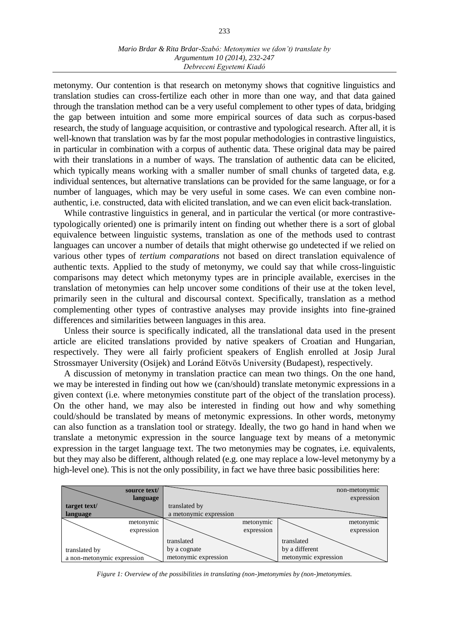#### *Mario Brdar & Rita Brdar-Szabó: Metonymies we (don't) translate by Argumentum 10 (2014), 232-247 Debreceni Egyetemi Kiadó*

metonymy. Our contention is that research on metonymy shows that cognitive linguistics and translation studies can cross-fertilize each other in more than one way, and that data gained through the translation method can be a very useful complement to other types of data, bridging the gap between intuition and some more empirical sources of data such as corpus-based research, the study of language acquisition, or contrastive and typological research. After all, it is well-known that translation was by far the most popular methodologies in contrastive linguistics, in particular in combination with a corpus of authentic data. These original data may be paired with their translations in a number of ways. The translation of authentic data can be elicited, which typically means working with a smaller number of small chunks of targeted data, e.g. individual sentences, but alternative translations can be provided for the same language, or for a number of languages, which may be very useful in some cases. We can even combine nonauthentic, i.e. constructed, data with elicited translation, and we can even elicit back-translation.

While contrastive linguistics in general, and in particular the vertical (or more contrastivetypologically oriented) one is primarily intent on finding out whether there is a sort of global equivalence between linguistic systems, translation as one of the methods used to contrast languages can uncover a number of details that might otherwise go undetected if we relied on various other types of *tertium comparations* not based on direct translation equivalence of authentic texts. Applied to the study of metonymy, we could say that while cross-linguistic comparisons may detect which metonymy types are in principle available, exercises in the translation of metonymies can help uncover some conditions of their use at the token level, primarily seen in the cultural and discoursal context. Specifically, translation as a method complementing other types of contrastive analyses may provide insights into fine-grained differences and similarities between languages in this area.

Unless their source is specifically indicated, all the translational data used in the present article are elicited translations provided by native speakers of Croatian and Hungarian, respectively. They were all fairly proficient speakers of English enrolled at Josip Jural Strossmayer University (Osijek) and Loránd Eötvös University (Budapest), respectively.

A discussion of metonymy in translation practice can mean two things. On the one hand, we may be interested in finding out how we (can/should) translate metonymic expressions in a given context (i.e. where metonymies constitute part of the object of the translation process). On the other hand, we may also be interested in finding out how and why something could/should be translated by means of metonymic expressions. In other words, metonymy can also function as a translation tool or strategy. Ideally, the two go hand in hand when we translate a metonymic expression in the source language text by means of a metonymic expression in the target language text. The two metonymies may be cognates, i.e. equivalents, but they may also be different, although related (e.g. one may replace a low-level metonymy by a high-level one). This is not the only possibility, in fact we have three basic possibilities here:



*Figure 1: Overview of the possibilities in translating (non-)metonymies by (non-)metonymies.*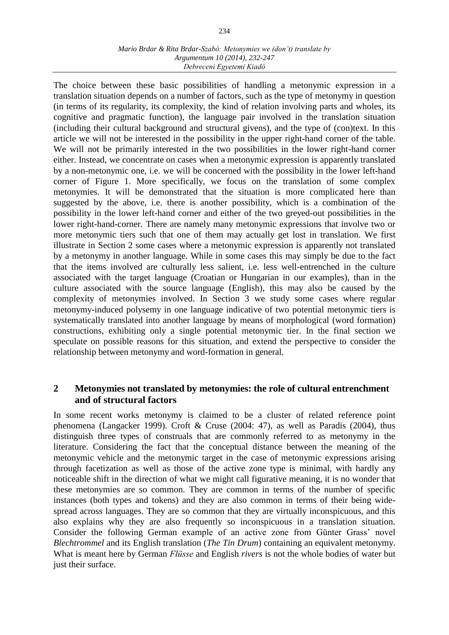#### *Mario Brdar & Rita Brdar-Szabó: Metonymies we (don't) translate by Argumentum 10 (2014), 232-247 Debreceni Egyetemi Kiadó*

The choice between these basic possibilities of handling a metonymic expression in a translation situation depends on a number of factors, such as the type of metonymy in question (in terms of its regularity, its complexity, the kind of relation involving parts and wholes, its cognitive and pragmatic function), the language pair involved in the translation situation (including their cultural background and structural givens), and the type of (con)text. In this article we will not be interested in the possibility in the upper right-hand corner of the table. We will not be primarily interested in the two possibilities in the lower right-hand corner either. Instead, we concentrate on cases when a metonymic expression is apparently translated by a non-metonymic one, i.e. we will be concerned with the possibility in the lower left-hand corner of Figure 1. More specifically, we focus on the translation of some complex metonymies. It will be demonstrated that the situation is more complicated here than suggested by the above, i.e. there is another possibility, which is a combination of the possibility in the lower left-hand corner and either of the two greyed-out possibilities in the lower right-hand-corner. There are namely many metonymic expressions that involve two or more metonymic tiers such that one of them may actually get lost in translation. We first illustrate in Section 2 some cases where a metonymic expression is apparently not translated by a metonymy in another language. While in some cases this may simply be due to the fact that the items involved are culturally less salient, i.e. less well-entrenched in the culture associated with the target language (Croatian or Hungarian in our examples), than in the culture associated with the source language (English), this may also be caused by the complexity of metonymies involved. In Section 3 we study some cases where regular metonymy-induced polysemy in one language indicative of two potential metonymic tiers is systematically translated into another language by means of morphological (word formation) constructions, exhibiting only a single potential metonymic tier. In the final section we speculate on possible reasons for this situation, and extend the perspective to consider the relationship between metonymy and word-formation in general.

## **2 Metonymies not translated by metonymies: the role of cultural entrenchment and of structural factors**

In some recent works metonymy is claimed to be a cluster of related reference point phenomena (Langacker 1999). Croft & Cruse (2004: 47), as well as Paradis (2004), thus distinguish three types of construals that are commonly referred to as metonymy in the literature. Considering the fact that the conceptual distance between the meaning of the metonymic vehicle and the metonymic target in the case of metonymic expressions arising through facetization as well as those of the active zone type is minimal, with hardly any noticeable shift in the direction of what we might call figurative meaning, it is no wonder that these metonymies are so common. They are common in terms of the number of specific instances (both types and tokens) and they are also common in terms of their being widespread across languages. They are so common that they are virtually inconspicuous, and this also explains why they are also frequently so inconspicuous in a translation situation. Consider the following German example of an active zone from Günter Grass' novel *Blechtrommel* and its English translation (*The Tin Drum*) containing an equivalent metonymy. What is meant here by German *Flüsse* and English *rivers* is not the whole bodies of water but just their surface.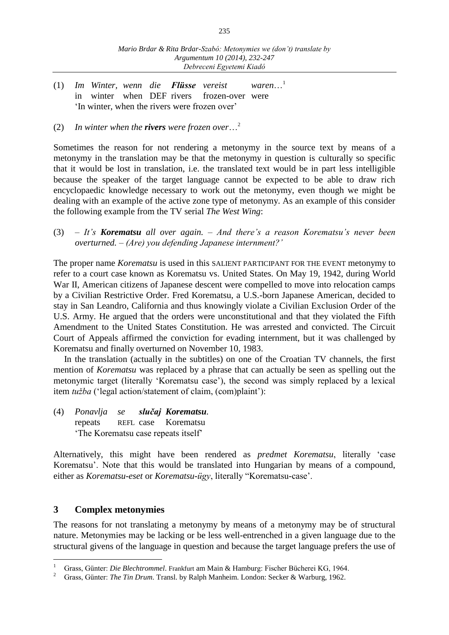- (1) *Im Winter, wenn die Flüsse vereist waren*…<sup>1</sup> in winter when DEF rivers frozen-over were 'In winter, when the rivers were frozen over'
- (2) *In winter when the rivers were frozen over*…<sup>2</sup>

Sometimes the reason for not rendering a metonymy in the source text by means of a metonymy in the translation may be that the metonymy in question is culturally so specific that it would be lost in translation, i.e. the translated text would be in part less intelligible because the speaker of the target language cannot be expected to be able to draw rich encyclopaedic knowledge necessary to work out the metonymy, even though we might be dealing with an example of the active zone type of metonymy. As an example of this consider the following example from the TV serial *The West Wing*:

(3) – *It's Korematsu all over again. – And there's a reason Korematsu's never been overturned. – (Are) you defending Japanese internment?'*

The proper name *Korematsu* is used in this SALIENT PARTICIPANT FOR THE EVENT metonymy to refer to a court case known as Korematsu vs. United States. On May 19, 1942, during World War II, American citizens of Japanese descent were compelled to move into relocation camps by a Civilian Restrictive Order. Fred Korematsu, a U.S.-born Japanese American, decided to stay in San Leandro, California and thus knowingly violate a Civilian Exclusion Order of the U.S. Army. He argued that the orders were unconstitutional and that they violated the Fifth Amendment to the United States Constitution. He was arrested and convicted. The Circuit Court of Appeals affirmed the conviction for evading internment, but it was challenged by Korematsu and finally overturned on November 10, 1983.

In the translation (actually in the subtitles) on one of the Croatian TV channels, the first mention of *Korematsu* was replaced by a phrase that can actually be seen as spelling out the metonymic target (literally 'Korematsu case'), the second was simply replaced by a lexical item *tužba* ('legal action/statement of claim, (com)plaint'):

(4) *Ponavlja se slučaj Korematsu.* repeats REFL case Korematsu 'The Korematsu case repeats itself'

Alternatively, this might have been rendered as *predmet Korematsu*, literally 'case Korematsu'. Note that this would be translated into Hungarian by means of a compound, either as *Korematsu-eset* or *Korematsu-ügy*, literally "Korematsu-case'.

## **3 Complex metonymies**

 $\overline{a}$ 

The reasons for not translating a metonymy by means of a metonymy may be of structural nature. Metonymies may be lacking or be less well-entrenched in a given language due to the structural givens of the language in question and because the target language prefers the use of

<sup>1</sup> Grass, Günter: *Die Blechtrommel*. Frankfurt am Main & Hamburg: Fischer Bücherei KG, 1964.

<sup>2</sup> Grass, Günter: *The Tin Drum*. Transl. by Ralph Manheim. London: Secker & Warburg, 1962.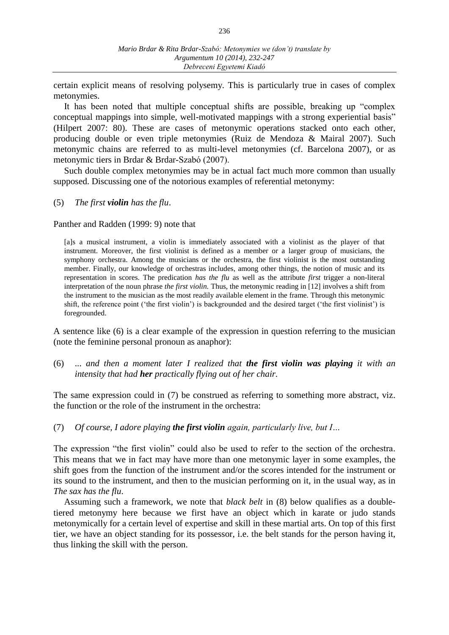certain explicit means of resolving polysemy. This is particularly true in cases of complex metonymies.

It has been noted that multiple conceptual shifts are possible, breaking up "complex conceptual mappings into simple, well-motivated mappings with a strong experiential basis" (Hilpert 2007: 80). These are cases of metonymic operations stacked onto each other, producing double or even triple metonymies (Ruiz de Mendoza & Mairal 2007). Such metonymic chains are referred to as multi-level metonymies (cf. Barcelona 2007), or as metonymic tiers in Brdar & Brdar-Szabó (2007).

Such double complex metonymies may be in actual fact much more common than usually supposed. Discussing one of the notorious examples of referential metonymy:

(5) *The first violin has the flu*.

Panther and Radden (1999: 9) note that

[a]s a musical instrument, a violin is immediately associated with a violinist as the player of that instrument. Moreover, the first violinist is defined as a member or a larger group of musicians, the symphony orchestra. Among the musicians or the orchestra, the first violinist is the most outstanding member. Finally, our knowledge of orchestras includes, among other things, the notion of music and its representation in scores. The predication *has the flu* as well as the attribute *first* trigger a non-literal interpretation of the noun phrase *the first violin.* Thus, the metonymic reading in [12] involves a shift from the instrument to the musician as the most readily available element in the frame. Through this metonymic shift, the reference point ('the first violin') is backgrounded and the desired target ('the first violinist') is foregrounded.

A sentence like (6) is a clear example of the expression in question referring to the musician (note the feminine personal pronoun as anaphor):

(6) ... *and then a moment later I realized that the first violin was playing it with an intensity that had her practically flying out of her chair.*

The same expression could in (7) be construed as referring to something more abstract, viz. the function or the role of the instrument in the orchestra:

(7) *Of course, I adore playing the first violin again, particularly live, but I…*

The expression "the first violin" could also be used to refer to the section of the orchestra. This means that we in fact may have more than one metonymic layer in some examples, the shift goes from the function of the instrument and/or the scores intended for the instrument or its sound to the instrument, and then to the musician performing on it, in the usual way, as in *The sax has the flu*.

Assuming such a framework, we note that *black belt* in (8) below qualifies as a doubletiered metonymy here because we first have an object which in karate or judo stands metonymically for a certain level of expertise and skill in these martial arts. On top of this first tier, we have an object standing for its possessor, i.e. the belt stands for the person having it, thus linking the skill with the person.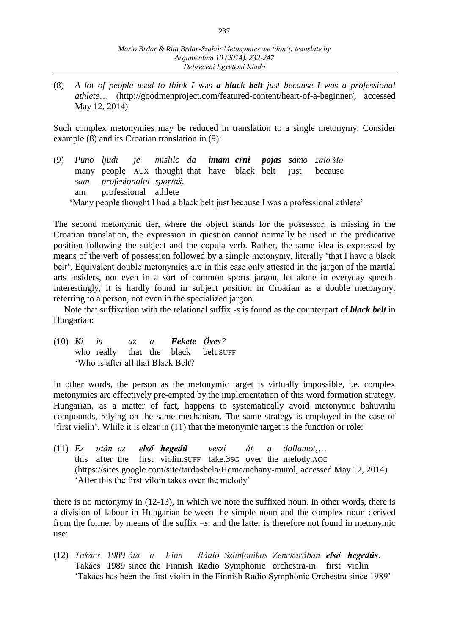(8) *A lot of people used to think I* was *a black belt just because I was a professional athlete*… (http://goodmenproject.com/featured-content/heart-of-a-beginner/, accessed May 12, 2014)

Such complex metonymies may be reduced in translation to a single metonymy. Consider example (8) and its Croatian translation in (9):

(9) *Puno ljudi je mislilo da imam crni pojas samo zato što*  many people AUX thought that have black belt just because *sam profesionalni sportaš*. am professional athlete 'Many people thought I had a black belt just because I was a professional athlete'

The second metonymic tier, where the object stands for the possessor, is missing in the Croatian translation, the expression in question cannot normally be used in the predicative position following the subject and the copula verb. Rather, the same idea is expressed by means of the verb of possession followed by a simple metonymy, literally 'that I have a black belt'. Equivalent double metonymies are in this case only attested in the jargon of the martial arts insiders, not even in a sort of common sports jargon, let alone in everyday speech. Interestingly, it is hardly found in subject position in Croatian as a double metonymy, referring to a person, not even in the specialized jargon.

Note that suffixation with the relational suffix -*s* is found as the counterpart of *black belt* in Hungarian:

(10) *Ki is az a Fekete Öves?* who really that the black belt.SUFF 'Who is after all that Black Belt?

In other words, the person as the metonymic target is virtually impossible, i.e. complex metonymies are effectively pre-empted by the implementation of this word formation strategy. Hungarian, as a matter of fact, happens to systematically avoid metonymic bahuvrihi compounds, relying on the same mechanism. The same strategy is employed in the case of 'first violin'. While it is clear in (11) that the metonymic target is the function or role:

(11) *Ez után az első hegedű veszi át a dallamot,*… this after the first violin.SUFF take.3SG over the melody.ACC (https://sites.google.com/site/tardosbela/Home/nehany-murol, accessed May 12, 2014) 'After this the first viloin takes over the melody'

there is no metonymy in (12-13), in which we note the suffixed noun. In other words, there is a division of labour in Hungarian between the simple noun and the complex noun derived from the former by means of the suffix –*s*, and the latter is therefore not found in metonymic use:

(12) *Takács 1989 óta a Finn Rádió Szimfonikus Zenekarában első hegedűs*. Takács 1989 since the Finnish Radio Symphonic orchestra-in first violin 'Takács has been the first violin in the Finnish Radio Symphonic Orchestra since 1989'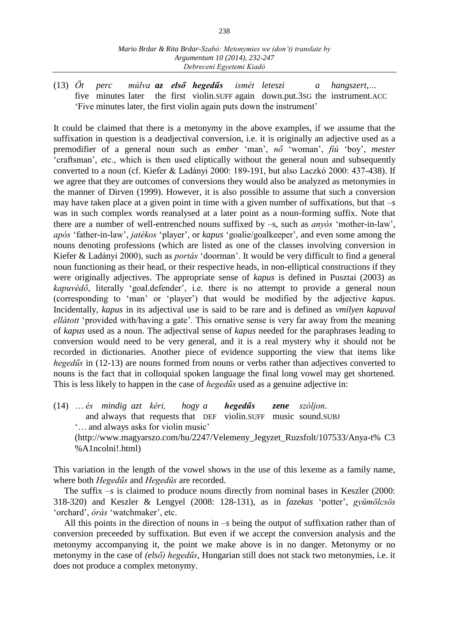(13) *Öt perc múlva az első hegedűs ismét leteszi a hangszert,…* five minutes later the first violin.SUFF again down.put.3SG the instrument.ACC 'Five minutes later, the first violin again puts down the instrument'

It could be claimed that there is a metonymy in the above examples, if we assume that the suffixation in question is a deadjectival conversion, i.e. it is originally an adjective used as a premodifier of a general noun such as *ember* 'man', *nő* 'woman', *fiú* 'boy', *mester* 'craftsman', etc., which is then used eliptically without the general noun and subsequently converted to a noun (cf. Kiefer & Ladányi 2000: 189-191, but also Laczkó 2000: 437-438). If we agree that they are outcomes of conversions they would also be analyzed as metonymies in the manner of Dirven (1999). However, it is also possible to assume that such a conversion may have taken place at a given point in time with a given number of suffixations, but that –*s* was in such complex words reanalysed at a later point as a noun-forming suffix. Note that there are a number of well-entrenched nouns suffixed by –s, such as *anyós* 'mother-in-law', *após* 'father-in-law', *jatékos* 'player', or *kapus* 'goalie/goalkeeper', and even some among the nouns denoting professions (which are listed as one of the classes involving conversion in Kiefer & Ladányi 2000), such as *portás* 'doorman'. It would be very difficult to find a general noun functioning as their head, or their respective heads, in non-elliptical constructions if they were originally adjectives. The appropriate sense of *kapus* is defined in Pusztai (2003) as *kapuvédő*, literally 'goal.defender', i.e. there is no attempt to provide a general noun (corresponding to 'man' or 'player') that would be modified by the adjective *kapus*. Incidentally, *kapus* in its adjectival use is said to be rare and is defined as *vmilyen kapuval ellátott* 'provided with/having a gate'. This ornative sense is very far away from the meaning of *kapus* used as a noun. The adjectival sense of *kapus* needed for the paraphrases leading to conversion would need to be very general, and it is a real mystery why it should not be recorded in dictionaries. Another piece of evidence supporting the view that items like *hegedűs* in (12-13) are nouns formed from nouns or verbs rather than adjectives converted to nouns is the fact that in colloquial spoken language the final long vowel may get shortened. This is less likely to happen in the case of *hegedűs* used as a genuine adjective in:

(14) … *és mindig azt kéri, hogy a hegedűs zene szóljon.* and always that requests that DEF violin.SUFF music sound.SUBJ '… and always asks for violin music' (http://www.magyarszo.com/hu/2247/Velemeny\_Jegyzet\_Ruzsfolt/107533/Anya-t% C3 %A1ncolni!.html)

This variation in the length of the vowel shows in the use of this lexeme as a family name, where both *Hegedűs* and *Hegedüs* are recorded.

The suffix  $-s$  is claimed to produce nouns directly from nominal bases in Keszler (2000: 318-320) and Keszler & Lengyel (2008: 128-131), as in *fazekas* 'potter', *gyümölcsös* 'orchard', *órás* 'watchmaker', etc.

All this points in the direction of nouns in –*s* being the output of suffixation rather than of conversion preceeded by suffixation. But even if we accept the conversion analysis and the metonymy accompanying it, the point we make above is in no danger. Metonymy or no metonymy in the case of *(első) hegedűs*, Hungarian still does not stack two metonymies, i.e. it does not produce a complex metonymy.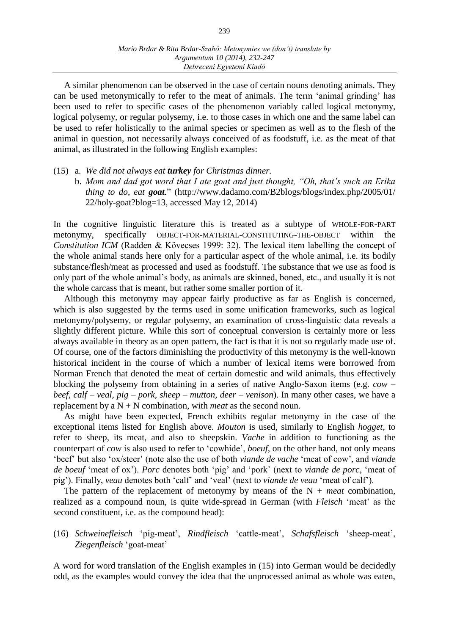A similar phenomenon can be observed in the case of certain nouns denoting animals. They can be used metonymically to refer to the meat of animals. The term 'animal grinding' has been used to refer to specific cases of the phenomenon variably called logical metonymy, logical polysemy, or regular polysemy, i.e. to those cases in which one and the same label can be used to refer holistically to the animal species or specimen as well as to the flesh of the animal in question, not necessarily always conceived of as foodstuff, i.e. as the meat of that animal, as illustrated in the following English examples:

#### (15) a. *We did not always eat turkey for Christmas dinner.*

b. *Mom and dad got word that I ate goat and just thought, "Oh, that's such an Erika thing to do, eat goat.*" (http://www.dadamo.com/B2blogs/blogs/index.php/2005/01/ 22/holy-goat?blog=13, accessed May 12, 2014)

In the cognitive linguistic literature this is treated as a subtype of WHOLE-FOR-PART metonymy, specifically OBJECT-FOR-MATERIAL-CONSTITUTING-THE-OBJECT within the *Constitution ICM* (Radden & Kövecses 1999: 32). The lexical item labelling the concept of the whole animal stands here only for a particular aspect of the whole animal, i.e. its bodily substance/flesh/meat as processed and used as foodstuff. The substance that we use as food is only part of the whole animal's body, as animals are skinned, boned, etc., and usually it is not the whole carcass that is meant, but rather some smaller portion of it.

Although this metonymy may appear fairly productive as far as English is concerned, which is also suggested by the terms used in some unification frameworks, such as logical metonymy/polysemy, or regular polysemy, an examination of cross-linguistic data reveals a slightly different picture. While this sort of conceptual conversion is certainly more or less always available in theory as an open pattern, the fact is that it is not so regularly made use of. Of course, one of the factors diminishing the productivity of this metonymy is the well-known historical incident in the course of which a number of lexical items were borrowed from Norman French that denoted the meat of certain domestic and wild animals, thus effectively blocking the polysemy from obtaining in a series of native Anglo-Saxon items (e.g. *cow – beef, calf – veal, pig – pork, sheep – mutton, deer – venison*). In many other cases, we have a replacement by a  $N + N$  combination, with *meat* as the second noun.

As might have been expected, French exhibits regular metonymy in the case of the exceptional items listed for English above. *Mouton* is used, similarly to English *hogget*, to refer to sheep, its meat, and also to sheepskin. *Vache* in addition to functioning as the counterpart of *cow* is also used to refer to 'cowhide', *boeuf*, on the other hand, not only means 'beef' but also 'ox/steer' (note also the use of both *viande de vache* 'meat of cow', and *viande de boeuf* 'meat of ox'). *Porc* denotes both 'pig' and 'pork' (next to *viande de porc*, 'meat of pig'). Finally, *veau* denotes both 'calf' and 'veal' (next to *viande de veau* 'meat of calf').

The pattern of the replacement of metonymy by means of the  $N +$  *meat* combination, realized as a compound noun, is quite wide-spread in German (with *Fleisch* 'meat' as the second constituent, i.e. as the compound head):

## (16) *Schweinefleisch* 'pig-meat', *Rindfleisch* 'cattle-meat', *Schafsfleisch* 'sheep-meat', *Ziegenfleisch* 'goat-meat'

A word for word translation of the English examples in (15) into German would be decidedly odd, as the examples would convey the idea that the unprocessed animal as whole was eaten,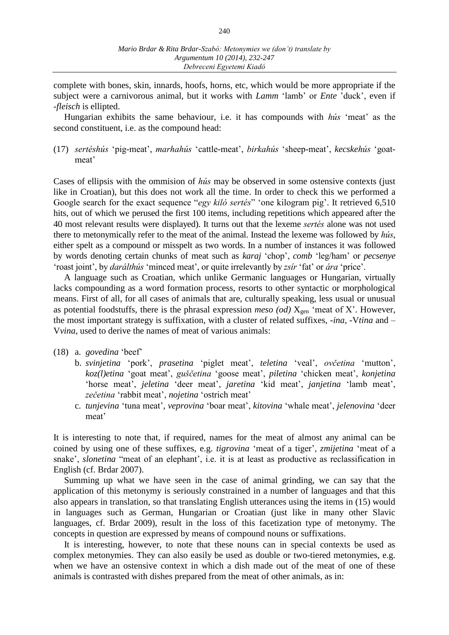complete with bones, skin, innards, hoofs, horns, etc, which would be more appropriate if the subject were a carnivorous animal, but it works with *Lamm* 'lamb' or *Ente* 'duck', even if -*fleisch* is ellipted.

Hungarian exhibits the same behaviour, i.e. it has compounds with *hús* 'meat' as the second constituent, i.e. as the compound head:

(17) *sertéshús* 'pig-meat', *marhahús* 'cattle-meat', *birkahús* 'sheep-meat', *kecskehús* 'goatmeat'

Cases of ellipsis with the ommision of *hús* may be observed in some ostensive contexts (just like in Croatian), but this does not work all the time. In order to check this we performed a Google search for the exact sequence "*egy kiló sertés*" 'one kilogram pig'. It retrieved 6,510 hits, out of which we perused the first 100 items, including repetitions which appeared after the 40 most relevant results were displayed). It turns out that the lexeme *sertés* alone was not used there to metonymically refer to the meat of the animal. Instead the lexeme was followed by *hús*, either spelt as a compound or misspelt as two words. In a number of instances it was followed by words denoting certain chunks of meat such as *karaj* 'chop', *comb* 'leg/ham' or *pecsenye* 'roast joint', by *darálthús* 'minced meat', or quite irrelevantly by *zsír* 'fat' or *ára* 'price'.

A language such as Croatian, which unlike Germanic languages or Hungarian, virtually lacks compounding as a word formation process, resorts to other syntactic or morphological means. First of all, for all cases of animals that are, culturally speaking, less usual or unusual as potential foodstuffs, there is the phrasal expression *meso (od)*  $X_{gen}$  'meat of X'. However, the most important strategy is suffixation, with a cluster of related suffixes, -*ina*, -V*tina* and – V*vina*, used to derive the names of meat of various animals:

#### (18) a. *govedina* 'beef'

- b. *svinjetina* 'pork', *prasetina* 'piglet meat', *teletina* 'veal', *ovčetina* 'mutton', *koz(l)etina* 'goat meat', *guščetina* 'goose meat', *piletina* 'chicken meat', *konjetina* 'horse meat', *jeletina* 'deer meat', *jaretina* 'kid meat', *janjetina* 'lamb meat', *zečetina* 'rabbit meat', *nojetina* 'ostrich meat'
- c. *tunjevina* 'tuna meat', *veprovina* 'boar meat', *kitovina* 'whale meat', *jelenovina* 'deer meat'

It is interesting to note that, if required, names for the meat of almost any animal can be coined by using one of these suffixes, e.g. *tigrovina* 'meat of a tiger', *zmijetina* 'meat of a snake', *slonetina* "meat of an elephant', i.e. it is at least as productive as reclassification in English (cf. Brdar 2007).

Summing up what we have seen in the case of animal grinding, we can say that the application of this metonymy is seriously constrained in a number of languages and that this also appears in translation, so that translating English utterances using the items in (15) would in languages such as German, Hungarian or Croatian (just like in many other Slavic languages, cf. Brdar 2009), result in the loss of this facetization type of metonymy. The concepts in question are expressed by means of compound nouns or suffixations.

It is interesting, however, to note that these nouns can in special contexts be used as complex metonymies. They can also easily be used as double or two-tiered metonymies, e.g. when we have an ostensive context in which a dish made out of the meat of one of these animals is contrasted with dishes prepared from the meat of other animals, as in: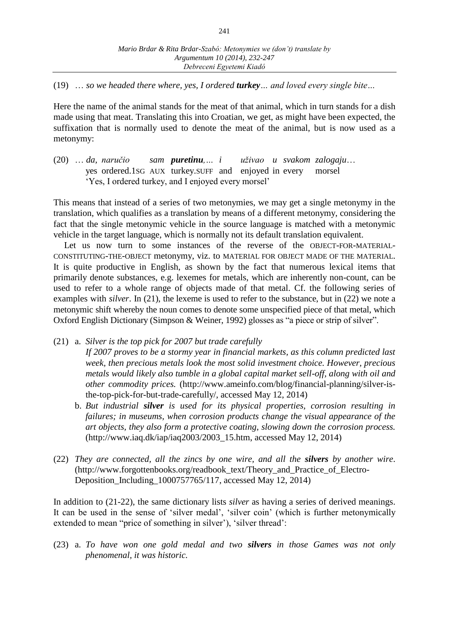(19) … *so we headed there where, yes, I ordered turkey… and loved every single bite…*

Here the name of the animal stands for the meat of that animal, which in turn stands for a dish made using that meat. Translating this into Croatian, we get, as might have been expected, the suffixation that is normally used to denote the meat of the animal, but is now used as a metonymy:

(20) … *da, naručio sam puretinu,… i uživao u svakom zalogaju*… yes ordered.1SG AUX turkey.SUFF and enjoyed in every morsel 'Yes, I ordered turkey, and I enjoyed every morsel'

This means that instead of a series of two metonymies, we may get a single metonymy in the translation, which qualifies as a translation by means of a different metonymy, considering the fact that the single metonymic vehicle in the source language is matched with a metonymic vehicle in the target language, which is normally not its default translation equivalent.

Let us now turn to some instances of the reverse of the OBJECT-FOR-MATERIAL-CONSTITUTING-THE-OBJECT metonymy, viz. to MATERIAL FOR OBJECT MADE OF THE MATERIAL. It is quite productive in English, as shown by the fact that numerous lexical items that primarily denote substances, e.g. lexemes for metals, which are inherently non-count, can be used to refer to a whole range of objects made of that metal. Cf. the following series of examples with *silver*. In (21), the lexeme is used to refer to the substance, but in (22) we note a metonymic shift whereby the noun comes to denote some unspecified piece of that metal, which Oxford English Dictionary (Simpson & Weiner, 1992) glosses as "a piece or strip of silver".

- (21) a. *Silver is the top pick for 2007 but trade carefully If 2007 proves to be a stormy year in financial markets, as this column predicted last week, then precious metals look the most solid investment choice. However, precious metals would likely also tumble in a global capital market sell-off, along with oil and other commodity prices.* (http://www.ameinfo.com/blog/financial-planning/silver-isthe-top-pick-for-but-trade-carefully/, accessed May 12, 2014)
	- b. *But industrial silver is used for its physical properties, corrosion resulting in failures; in museums, when corrosion products change the visual appearance of the art objects, they also form a protective coating, slowing down the corrosion process.* (http://www.iaq.dk/iap/iaq2003/2003\_15.htm, accessed May 12, 2014)
- (22) *They are connected, all the zincs by one wire, and all the silvers by another wire*. (http://www.forgottenbooks.org/readbook\_text/Theory\_and\_Practice\_of\_Electro-Deposition\_Including\_1000757765/117, accessed May 12, 2014)

In addition to (21-22), the same dictionary lists *silver* as having a series of derived meanings. It can be used in the sense of 'silver medal', 'silver coin' (which is further metonymically extended to mean "price of something in silver'), 'silver thread':

(23) a. *To have won one gold medal and two silvers in those Games was not only phenomenal, it was historic.*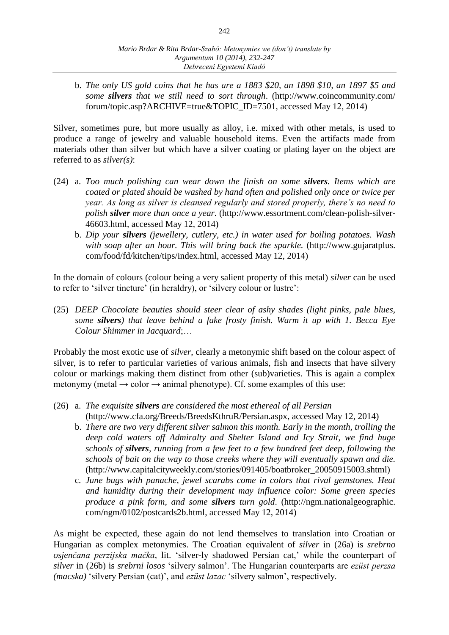b. *The only US gold coins that he has are a 1883 \$20, an 1898 \$10, an 1897 \$5 and some silvers that we still need to sort through*. (http://www.coincommunity.com/ forum/topic.asp?ARCHIVE=true&TOPIC\_ID=7501, accessed May 12, 2014)

Silver, sometimes pure, but more usually as alloy, i.e. mixed with other metals, is used to produce a range of jewelry and valuable household items. Even the artifacts made from materials other than silver but which have a silver coating or plating layer on the object are referred to as *silver(s)*:

- (24) a. *Too much polishing can wear down the finish on some silvers. Items which are coated or plated should be washed by hand often and polished only once or twice per year. As long as silver is cleansed regularly and stored properly, there's no need to polish silver more than once a year.* (http://www.essortment.com/clean-polish-silver-46603.html, accessed May 12, 2014)
	- b. *Dip your silvers (jewellery, cutlery, etc.) in water used for boiling potatoes. Wash with soap after an hour. This will bring back the sparkle.* (http://www.gujaratplus. com/food/fd/kitchen/tips/index.html, accessed May 12, 2014)

In the domain of colours (colour being a very salient property of this metal) *silver* can be used to refer to 'silver tincture' (in heraldry), or 'silvery colour or lustre':

(25) *DEEP Chocolate beauties should steer clear of ashy shades (light pinks, pale blues, some silvers) that leave behind a fake frosty finish. Warm it up with 1. Becca Eye Colour Shimmer in Jacquard*;…

Probably the most exotic use of *silver*, clearly a metonymic shift based on the colour aspect of silver, is to refer to particular varieties of various animals, fish and insects that have silvery colour or markings making them distinct from other (sub)varieties. This is again a complex metonymy (metal  $\rightarrow$  color  $\rightarrow$  animal phenotype). Cf. some examples of this use:

- (26) a. *The exquisite silvers are considered the most ethereal of all Persian* (http://www.cfa.org/Breeds/BreedsKthruR/Persian.aspx, accessed May 12, 2014)
	- b. *There are two very different silver salmon this month. Early in the month, trolling the deep cold waters off Admiralty and Shelter Island and Icy Strait, we find huge schools of silvers, running from a few feet to a few hundred feet deep, following the schools of bait on the way to those creeks where they will eventually spawn and die.* (http://www.capitalcityweekly.com/stories/091405/boatbroker\_20050915003.shtml)
	- c. *June bugs with panache, jewel scarabs come in colors that rival gemstones. Heat and humidity during their development may influence color: Some green species produce a pink form, and some silvers turn gold*. (http://ngm.nationalgeographic. com/ngm/0102/postcards2b.html, accessed May 12, 2014)

As might be expected, these again do not lend themselves to translation into Croatian or Hungarian as complex metonymies. The Croatian equivalent of *silver* in (26a) is *srebrno osjenčana perzijska mačka*, lit. 'silver-ly shadowed Persian cat,' while the counterpart of *silver* in (26b) is *srebrni losos* 'silvery salmon'. The Hungarian counterparts are *ezüst perzsa (macska)* 'silvery Persian (cat)', and *ezüst lazac* 'silvery salmon', respectively.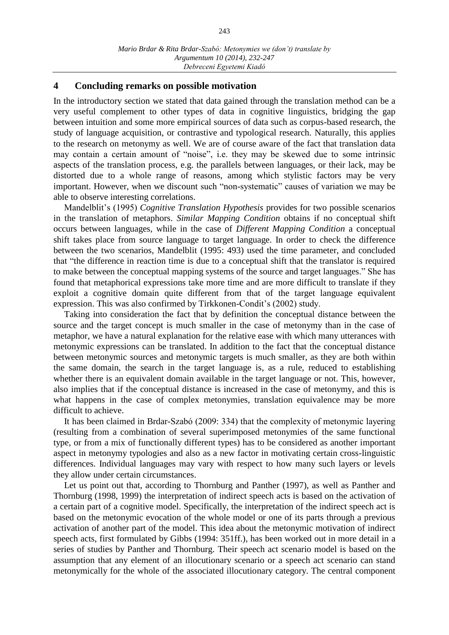#### **4 Concluding remarks on possible motivation**

In the introductory section we stated that data gained through the translation method can be a very useful complement to other types of data in cognitive linguistics, bridging the gap between intuition and some more empirical sources of data such as corpus-based research, the study of language acquisition, or contrastive and typological research. Naturally, this applies to the research on metonymy as well. We are of course aware of the fact that translation data may contain a certain amount of "noise", i.e. they may be skewed due to some intrinsic aspects of the translation process, e.g. the parallels between languages, or their lack, may be distorted due to a whole range of reasons, among which stylistic factors may be very important. However, when we discount such "non-systematic" causes of variation we may be able to observe interesting correlations.

Mandelblit's (1995) *Cognitive Translation Hypothesis* provides for two possible scenarios in the translation of metaphors. *Similar Mapping Condition* obtains if no conceptual shift occurs between languages, while in the case of *Different Mapping Condition* a conceptual shift takes place from source language to target language. In order to check the difference between the two scenarios, Mandelblit (1995: 493) used the time parameter, and concluded that "the difference in reaction time is due to a conceptual shift that the translator is required to make between the conceptual mapping systems of the source and target languages." She has found that metaphorical expressions take more time and are more difficult to translate if they exploit a cognitive domain quite different from that of the target language equivalent expression. This was also confirmed by Tirkkonen-Condit's (2002) study.

Taking into consideration the fact that by definition the conceptual distance between the source and the target concept is much smaller in the case of metonymy than in the case of metaphor, we have a natural explanation for the relative ease with which many utterances with metonymic expressions can be translated. In addition to the fact that the conceptual distance between metonymic sources and metonymic targets is much smaller, as they are both within the same domain, the search in the target language is, as a rule, reduced to establishing whether there is an equivalent domain available in the target language or not. This, however, also implies that if the conceptual distance is increased in the case of metonymy, and this is what happens in the case of complex metonymies, translation equivalence may be more difficult to achieve.

It has been claimed in Brdar-Szabó (2009: 334) that the complexity of metonymic layering (resulting from a combination of several superimposed metonymies of the same functional type, or from a mix of functionally different types) has to be considered as another important aspect in metonymy typologies and also as a new factor in motivating certain cross-linguistic differences. Individual languages may vary with respect to how many such layers or levels they allow under certain circumstances.

Let us point out that, according to Thornburg and Panther (1997), as well as Panther and Thornburg (1998, 1999) the interpretation of indirect speech acts is based on the activation of a certain part of a cognitive model. Specifically, the interpretation of the indirect speech act is based on the metonymic evocation of the whole model or one of its parts through a previous activation of another part of the model. This idea about the metonymic motivation of indirect speech acts, first formulated by Gibbs (1994: 351ff.), has been worked out in more detail in a series of studies by Panther and Thornburg. Their speech act scenario model is based on the assumption that any element of an illocutionary scenario or a speech act scenario can stand metonymically for the whole of the associated illocutionary category. The central component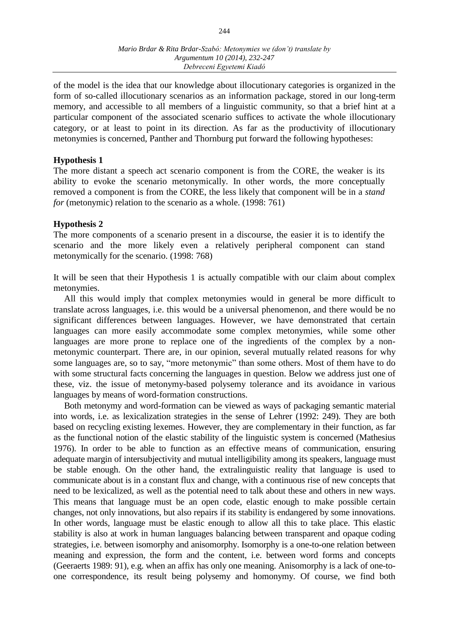of the model is the idea that our knowledge about illocutionary categories is organized in the form of so-called illocutionary scenarios as an information package, stored in our long-term memory, and accessible to all members of a linguistic community, so that a brief hint at a particular component of the associated scenario suffices to activate the whole illocutionary category, or at least to point in its direction. As far as the productivity of illocutionary metonymies is concerned, Panther and Thornburg put forward the following hypotheses:

### **Hypothesis 1**

The more distant a speech act scenario component is from the CORE, the weaker is its ability to evoke the scenario metonymically. In other words, the more conceptually removed a component is from the CORE, the less likely that component will be in a *stand for* (metonymic) relation to the scenario as a whole. (1998: 761)

## **Hypothesis 2**

The more components of a scenario present in a discourse, the easier it is to identify the scenario and the more likely even a relatively peripheral component can stand metonymically for the scenario. (1998: 768)

It will be seen that their Hypothesis 1 is actually compatible with our claim about complex metonymies.

All this would imply that complex metonymies would in general be more difficult to translate across languages, i.e. this would be a universal phenomenon, and there would be no significant differences between languages. However, we have demonstrated that certain languages can more easily accommodate some complex metonymies, while some other languages are more prone to replace one of the ingredients of the complex by a nonmetonymic counterpart. There are, in our opinion, several mutually related reasons for why some languages are, so to say, "more metonymic" than some others. Most of them have to do with some structural facts concerning the languages in question. Below we address just one of these, viz. the issue of metonymy-based polysemy tolerance and its avoidance in various languages by means of word-formation constructions.

Both metonymy and word-formation can be viewed as ways of packaging semantic material into words, i.e. as lexicalization strategies in the sense of Lehrer (1992: 249). They are both based on recycling existing lexemes. However, they are complementary in their function, as far as the functional notion of the elastic stability of the linguistic system is concerned (Mathesius 1976). In order to be able to function as an effective means of communication, ensuring adequate margin of intersubjectivity and mutual intelligibility among its speakers, language must be stable enough. On the other hand, the extralinguistic reality that language is used to communicate about is in a constant flux and change, with a continuous rise of new concepts that need to be lexicalized, as well as the potential need to talk about these and others in new ways. This means that language must be an open code, elastic enough to make possible certain changes, not only innovations, but also repairs if its stability is endangered by some innovations. In other words, language must be elastic enough to allow all this to take place. This elastic stability is also at work in human languages balancing between transparent and opaque coding strategies, i.e. between isomorphy and anisomorphy. Isomorphy is a one-to-one relation between meaning and expression, the form and the content, i.e. between word forms and concepts (Geeraerts 1989: 91), e.g. when an affix has only one meaning. Anisomorphy is a lack of one-toone correspondence, its result being polysemy and homonymy. Of course, we find both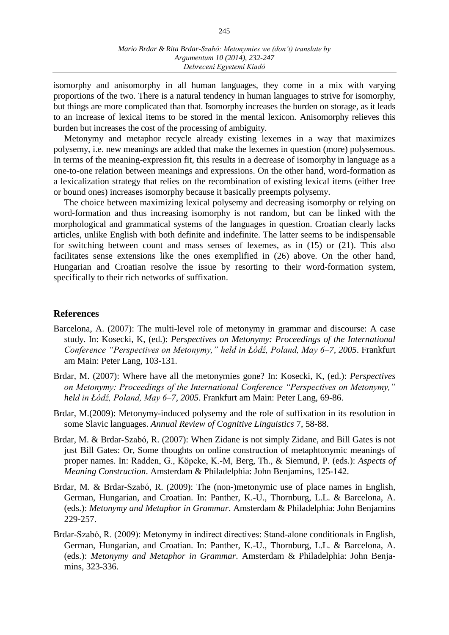isomorphy and anisomorphy in all human languages, they come in a mix with varying proportions of the two. There is a natural tendency in human languages to strive for isomorphy, but things are more complicated than that. Isomorphy increases the burden on storage, as it leads to an increase of lexical items to be stored in the mental lexicon. Anisomorphy relieves this burden but increases the cost of the processing of ambiguity.

Metonymy and metaphor recycle already existing lexemes in a way that maximizes polysemy, i.e. new meanings are added that make the lexemes in question (more) polysemous. In terms of the meaning-expression fit, this results in a decrease of isomorphy in language as a one-to-one relation between meanings and expressions. On the other hand, word-formation as a lexicalization strategy that relies on the recombination of existing lexical items (either free or bound ones) increases isomorphy because it basically preempts polysemy.

The choice between maximizing lexical polysemy and decreasing isomorphy or relying on word-formation and thus increasing isomorphy is not random, but can be linked with the morphological and grammatical systems of the languages in question. Croatian clearly lacks articles, unlike English with both definite and indefinite. The latter seems to be indispensable for switching between count and mass senses of lexemes, as in (15) or (21). This also facilitates sense extensions like the ones exemplified in (26) above. On the other hand, Hungarian and Croatian resolve the issue by resorting to their word-formation system, specifically to their rich networks of suffixation.

#### **References**

- Barcelona, A. (2007): The multi-level role of metonymy in grammar and discourse: A case study. In: Kosecki, K, (ed.): *Perspectives on Metonymy: Proceedings of the International Conference "Perspectives on Metonymy," held in Łódź, Poland, May 6–7, 2005*. Frankfurt am Main: Peter Lang, 103-131.
- Brdar, M. (2007): Where have all the metonymies gone? In: Kosecki, K, (ed.): *Perspectives on Metonymy: Proceedings of the International Conference "Perspectives on Metonymy," held in Łódź, Poland, May 6–7, 2005*. Frankfurt am Main: Peter Lang, 69-86.
- Brdar, M.(2009): Metonymy-induced polysemy and the role of suffixation in its resolution in some Slavic languages. *Annual Review of Cognitive Linguistics* 7, 58-88.
- Brdar, M. & Brdar-Szabó, R. (2007): When Zidane is not simply Zidane, and Bill Gates is not just Bill Gates: Or, Some thoughts on online construction of metaphtonymic meanings of proper names. In: Radden, G., Köpcke, K.-M, Berg, Th., & Siemund, P. (eds.): *Aspects of Meaning Construction*. Amsterdam & Philadelphia: John Benjamins, 125-142.
- Brdar, M. & Brdar-Szabó, R. (2009): The (non-)metonymic use of place names in English, German, Hungarian, and Croatian. In: Panther, K.-U., Thornburg, L.L. & Barcelona, A. (eds.): *Metonymy and Metaphor in Grammar*. Amsterdam & Philadelphia: John Benjamins 229-257.
- Brdar-Szabó, R. (2009): Metonymy in indirect directives: Stand-alone conditionals in English, German, Hungarian, and Croatian. In: Panther, K.-U., Thornburg, L.L. & Barcelona, A. (eds.): *Metonymy and Metaphor in Grammar*. Amsterdam & Philadelphia: John Benjamins, 323-336.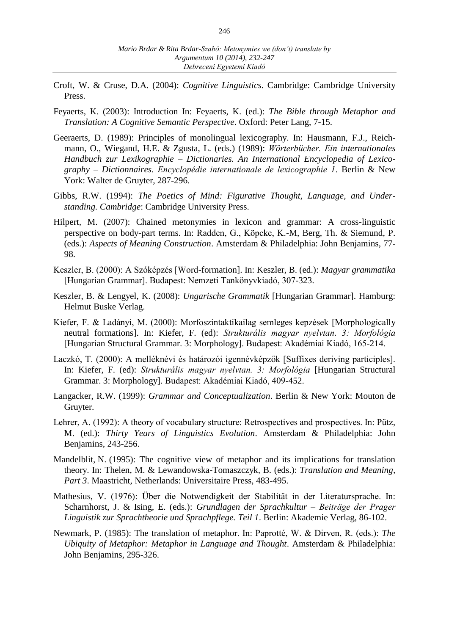- Croft, W. & Cruse, D.A. (2004): *Cognitive Linguistics*. Cambridge: Cambridge University Press.
- Feyaerts, K. (2003): Introduction In: Feyaerts, K. (ed.): *The Bible through Metaphor and Translation: A Cognitive Semantic Perspective*. Oxford: Peter Lang, 7-15.
- Geeraerts, D. (1989): Principles of monolingual lexicography. In: Hausmann, F.J., Reichmann, O., Wiegand, H.E. & Zgusta, L. (eds.) (1989): *Wörterbücher. Ein internationales Handbuch zur Lexikographie – Dictionaries. An International Encyclopedia of Lexicography – Dictionnaires. Encyclopédie internationale de lexicographie 1*. Berlin & New York: Walter de Gruyter, 287-296.
- Gibbs, R.W. (1994): *The Poetics of Mind: Figurative Thought, Language, and Understanding. Cambridge*: Cambridge University Press.
- Hilpert, M. (2007): Chained metonymies in lexicon and grammar: A cross-linguistic perspective on body-part terms. In: Radden, G., Köpcke, K.-M, Berg, Th. & Siemund, P. (eds.): *Aspects of Meaning Construction*. Amsterdam & Philadelphia: John Benjamins, 77- 98.
- Keszler, B. (2000): A Szóképzés [Word-formation]. In: Keszler, B. (ed.): *Magyar grammatika* [Hungarian Grammar]. Budapest: Nemzeti Tankönyvkiadó, 307-323.
- Keszler, B. & Lengyel, K. (2008): *Ungarische Grammatik* [Hungarian Grammar]. Hamburg: Helmut Buske Verlag.
- Kiefer, F. & Ladányi, M. (2000): Morfoszintaktikailag semleges kepzések [Morphologically neutral formations]. In: Kiefer, F. (ed): *Strukturális magyar nyelvtan. 3: Morfológia* [Hungarian Structural Grammar. 3: Morphology]. Budapest: Akadémiai Kiadó, 165-214.
- Laczkó, T. (2000): A melléknévi és határozói igennévképzők [Suffixes deriving participles]. In: Kiefer, F. (ed): *Strukturális magyar nyelvtan. 3: Morfológia* [Hungarian Structural Grammar. 3: Morphology]. Budapest: Akadémiai Kiadó, 409-452.
- Langacker, R.W. (1999): *Grammar and Conceptualization*. Berlin & New York: Mouton de Gruyter.
- Lehrer, A. (1992): A theory of vocabulary structure: Retrospectives and prospectives. In: Pütz, M. (ed.): *Thirty Years of Linguistics Evolution*. Amsterdam & Philadelphia: John Benjamins, 243-256.
- Mandelblit, N. (1995): The cognitive view of metaphor and its implications for translation theory. In: Thelen, M. & Lewandowska-Tomaszczyk, B. (eds.): *Translation and Meaning, Part 3*. Maastricht, Netherlands: Universitaire Press, 483-495.
- Mathesius, V. (1976): Über die Notwendigkeit der Stabilität in der Literatursprache. In: Scharnhorst, J. & Ising, E. (eds.): *Grundlagen der Sprachkultur – Beiträge der Prager Linguistik zur Sprachtheorie und Sprachpflege. Teil 1*. Berlin: Akademie Verlag, 86-102.
- Newmark, P. (1985): The translation of metaphor. In: Paprotté, W. & Dirven, R. (eds.): *The Ubiquity of Metaphor: Metaphor in Language and Thought*. Amsterdam & Philadelphia: John Benjamins, 295-326.